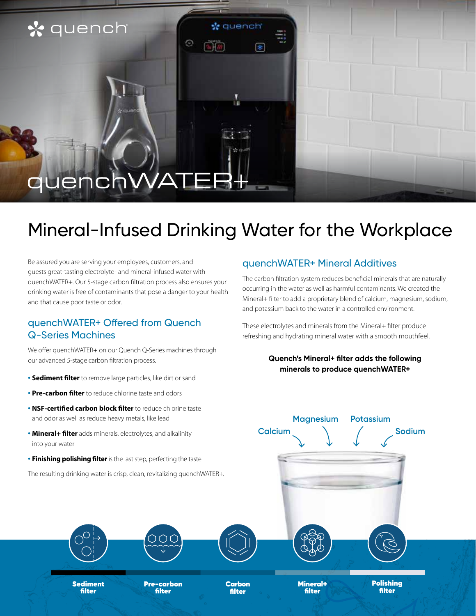### \* quench

# quer

## Mineral-Infused Drinking Water for the Workplace

☆ quench

⊮

Θ

Be assured you are serving your employees, customers, and guests great-tasting electrolyte- and mineral-infused water with quenchWATER+. Our 5-stage carbon filtration process also ensures your drinking water is free of contaminants that pose a danger to your health and that cause poor taste or odor.

#### quenchWATER+ Offered from Quench Q-Series Machines

We offer quenchWATER+ on our Quench Q-Series machines through our advanced 5-stage carbon filtration process.

- **• Sediment filter** to remove large particles, like dirt or sand
- **• Pre-carbon filter** to reduce chlorine taste and odors
- **• NSF-certified carbon block filter** to reduce chlorine taste and odor as well as reduce heavy metals, like lead
- **• Mineral+ filter** adds minerals, electrolytes, and alkalinity into your water
- **• Finishing polishing filter** is the last step, perfecting the taste

The resulting drinking water is crisp, clean, revitalizing quenchWATER+.

#### quenchWATER+ Mineral Additives

The carbon filtration system reduces beneficial minerals that are naturally occurring in the water as well as harmful contaminants. We created the Mineral+ filter to add a proprietary blend of calcium, magnesium, sodium, and potassium back to the water in a controlled environment.

These electrolytes and minerals from the Mineral+ filter produce refreshing and hydrating mineral water with a smooth mouthfeel.

#### **Quench's Mineral+ filter adds the following minerals to produce quenchWATER+**